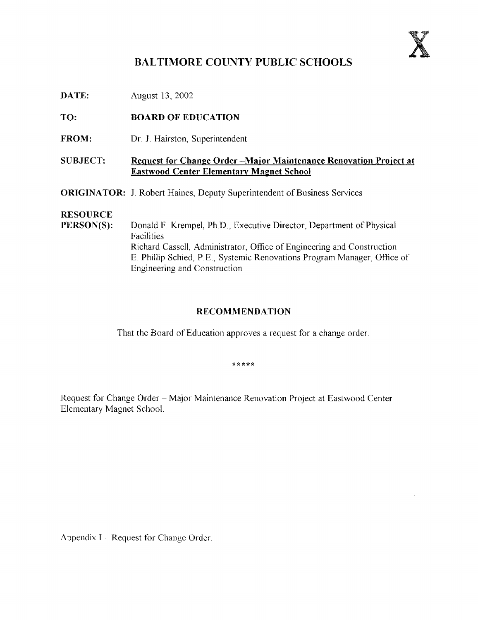

## BALTIMORE COUNTY PUBLIC SCHOOLS

DATE: August 13, 2002

TO: BOARD OF EDUCATION

FROM: Dr. J. Hairston, Superintendent

### SUBJECT: Request for Change Order -Major Maintenance Renovation Project at Eastwood Center Elementary Magnet School

ORIGINATOR: J. Robert Haines, Deputy Superintendent of Business Services

# **RESOURCE**<br>PERSON(S):

Donald F. Krempel, Ph.D., Executive Director, Department of Physical Facilities Richard Cassell, Administrator, Office of Engineering and Construction E Phillip Schied, P.E ., Systemic Renovations Program Manager, Office of Engineering and Construction

### RECOMMENDATION

That the Board of Education approves a request for a change order

\*\*\*\*\*

Request for Change Order - Major Maintenance Renovation Project at Eastwood Center Elementary Magnet School .

Appendix  $I -$  Request for Change Order.